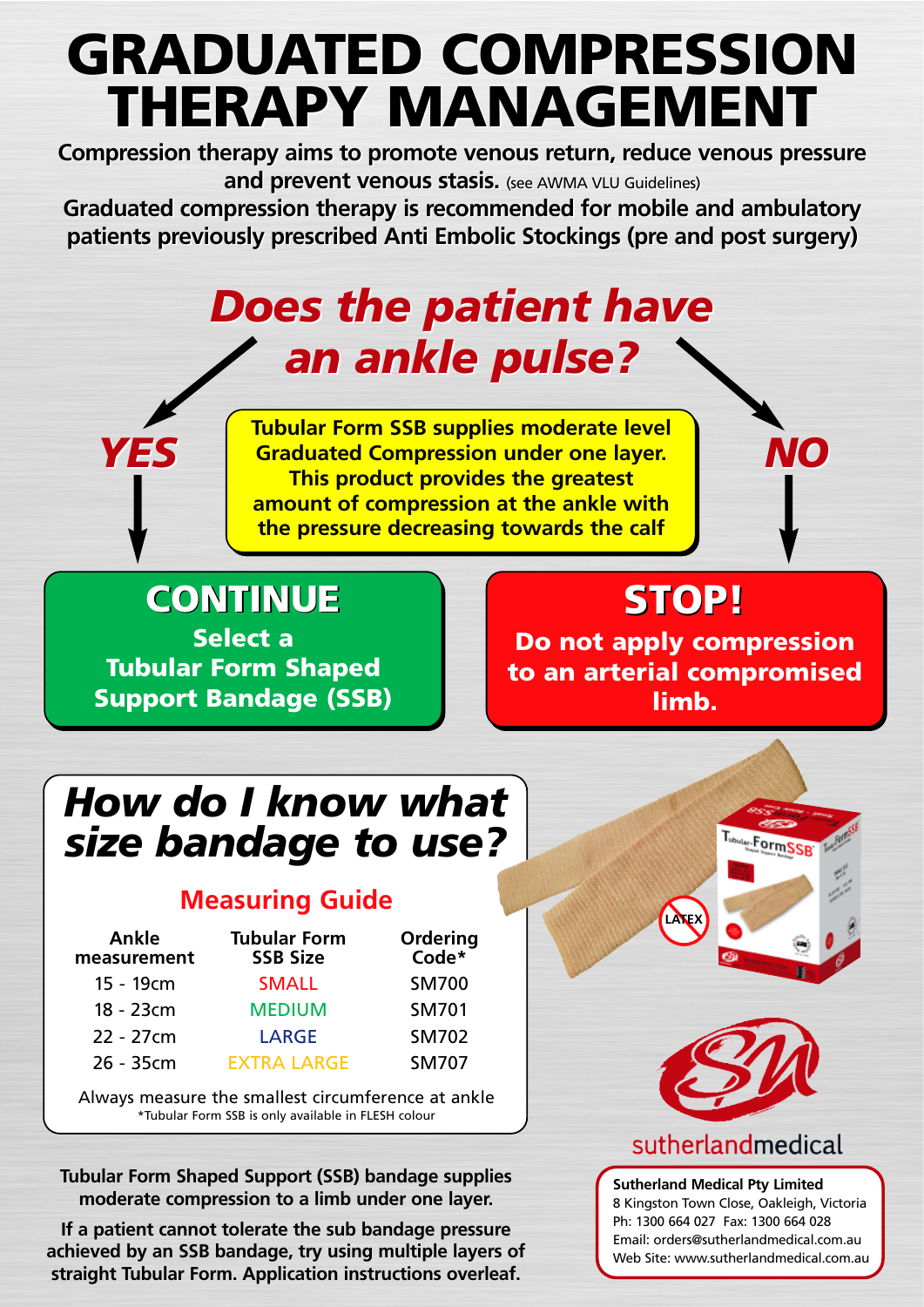# **GRADUATED COMPRESSION GRADUATED COMPRESSION THERAPY MANAGEMENT THERAPY MANAGEMENT**

**Compression therapy aims to promote venous return, reduce venous pressure Compression therapy aims to promote venous return, reduce venous pressure and prevent venous stasis.** (see AWMA VLU Guidelines) **and prevent venous stasis.** (see AWMA VLU Guidelines)

**Graduated compression therapy is recommended for mobile and ambulatory Graduated compression therapy is recommended for mobile and ambulatory patients previously prescribed Anti Embolic Stockings (pre and post surgery) patients previously prescribed Anti Embolic Stockings (pre and post surgery)**

## *Does the patient have Does the patient have an ankle pulse? an ankle pulse?*

**YES**  $\begin{bmatrix}$  Tubular Form SSB supplies moderate level<br> **YES**  $\begin{bmatrix}$  Graduated Compression under one layer. NO **Graduated Compression under one layer.** *YES NO* **This product provides the greatest amount of compression at the ankle with the pressure decreasing towards the calf**

**CONTINUE STOP! CONTINUE Select a Tubular Form Shaped Support Bandage (SSB)**

## **STOP!**

**Do not apply compression to an arterial compromised limb.**

## *How do I know what size bandage to use?*

#### **Measuring Guide**

| Ankle<br>measurement | <b>Tubular Form</b><br><b>SSB Size</b> | Ordering<br>Code* |
|----------------------|----------------------------------------|-------------------|
| 15 - 19cm            | <b>SMALL</b>                           | <b>SM700</b>      |
| 18 - 23cm            | <b>MEDIUM</b>                          | <b>SM701</b>      |
| 22 - 27cm            | <b>LARGE</b>                           | <b>SM702</b>      |
| 26 - 35cm            | <b>EXTRA LARGE</b>                     | <b>SM707</b>      |

Always measure the smallest circumference at ankle \*Tubular Form SSB is only available in FLESH colour

**Tubular Form Shaped Support (SSB) bandage supplies moderate compression to a limb under one layer.**

**If a patient cannot tolerate the sub bandage pressure achieved by an SSB bandage, try using multiple layers of straight Tubular Form. Application instructions overleaf.**





#### sutherlandmedical

**Sutherland Medical Pty Limited** 8 Kingston Town Close, Oakleigh, Victoria Ph: 1300 664 027 Fax: 1300 664 028 Email: orders@sutherlandmedical.com.au Web Site: www.sutherlandmedical.com.au